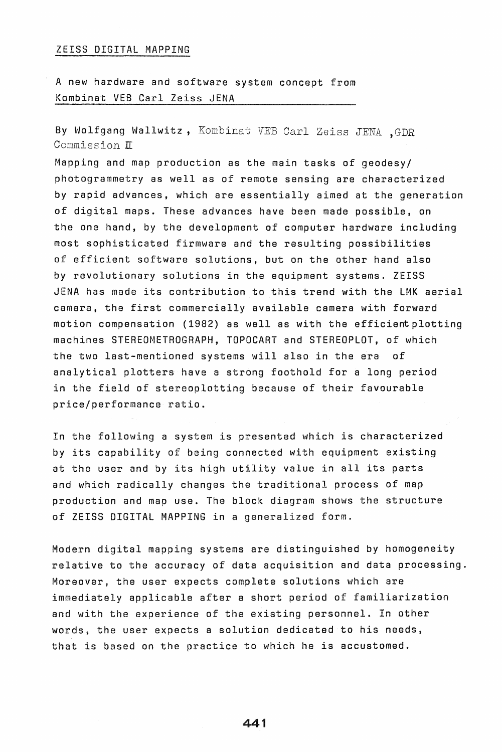## ZEISS DIGITAL MAPPING

A new hardware and software system concept from Kombinat VEB Carl Zeiss JENA

By Wolfgang Wallwitz, Kombinat VEE Carl Zeiss JENA ,GDR Commission IT

Mapping and map production as the main tasks of geodesy/ photogrammetry as well as of remote sensing are characterized by rapid advances, which are essentially aimed at the generation of digital maps. These advances have been made possible, on the one hand, by the development of computer hardware including most sophisticated firmware and the resulting possibilities of efficient software solutions, but on the other hand also by revolutionary solutions in the equipment systems. ZEISS JENA has made its contribution to this trend with the lMK aerial camera, the first commercially available camera with forward motion compensation (1982) as well as with the efficient plotting machines STEREOMETROGRAPH, TOPOCART and STEREOPlOT, of which the two last-mentioned systems will also in the era of analytical plotters have a strong foothold for a long period in the field of stereoplotting because of their favourable price/performance ratio.

In the following a system is presented which is characterized by its capability of being connected with equipment existing at the user and by its high utility value in all its parts and which radically changes the traditional process of map production and map use. The block diagram shows the structure of ZEISS DIGITAL MAPPING in a generalized form.

Modern digital mapping systems are distinguished by homogeneity relative to the accuracy of data acquisition and data processing. Moreover, the user expects complete solutions which are immediately applicable after a short period of familiarization and with the experience of the existing personnel. In other words, the user expects a solution dedicated to his needs, that is based on the practice to which he is accustomed.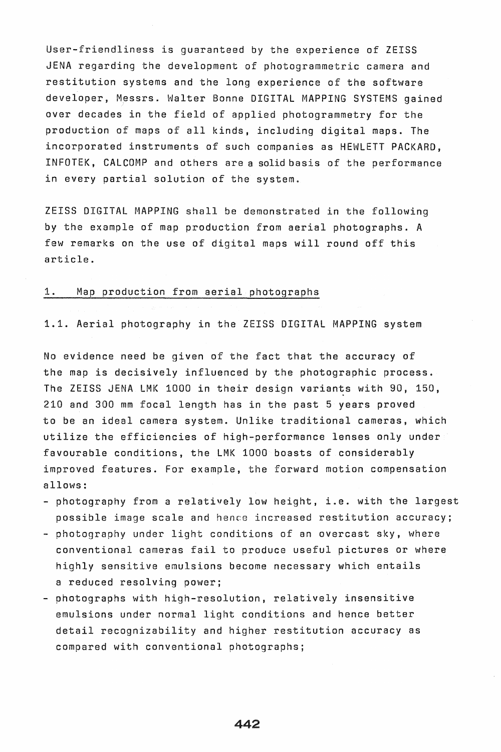User-friendliness is guaranteed by the experience of ZEISS JENA regarding the development of photogrammetric camera and restitution systems and the long experience of the software developer, Messrs. Walter Bonne DIGITAL MAPPING SYSTEMS gained over decades in the field of applied photogrammetry for the production of maps of all kinds, including digital maps. The incorporated instruments of such companies as HEWLETT PACKARD, INFOTEK, CALCOMP and others are a solid basis of the performance in every partial solution of the system.

ZEISS DIGITAL MAPPING shall be demonstrated in the following by the example of map production from aerial photographs. A few remarks on the use of digital maps will round off this article.

#### 1. Map production from aerial photographs

1.1. Aerial photography in the ZEISS DIGITAL MAPPING system

No evidence need be given of the fact that the accuracy of the map is decisively influenced by the photographic process. The ZEISS JENA LMK 1000 in their design variants with 90, 150, 210 and 300 mm focal length has in the past 5 years proved to be an ideal camera system. Unlike traditional cameras, which utilize the efficiencies of high-performance lenses only under favourable conditions, the LMK 1000 boasts of considerably improved features. For example, the forward motion compensation allows:

- photography from a relatively low height, i.e. with the largest possible image scale and hence increased restitution accuracy;
- photography under light conditions of an overcast sky, where conventional cameras fail to produce useful pictures or where highly sensitive emulsions become necessary which entails a reduced resolving power;
- photographs with high-resolution, relatively insensitive emulsions under normal light conditions and hence better detail recognizability and higher restitution accuracy as compared with conventional photographs;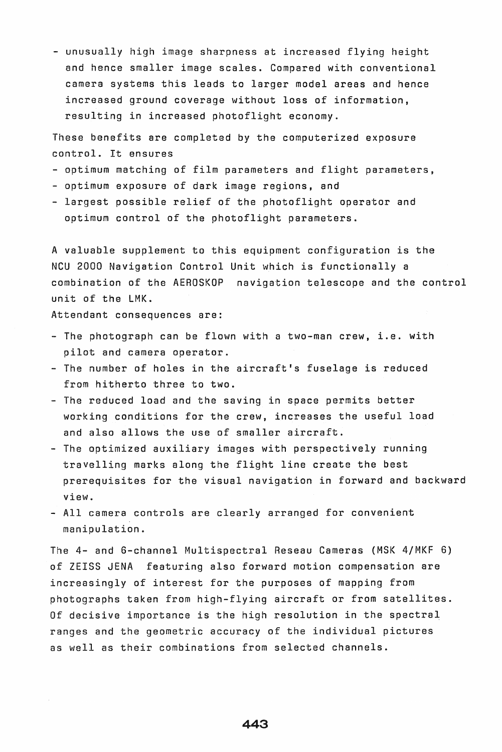- unusually high image sharpness at increased flying height and hence smaller image scales. Compared with conventional camera systems this leads to larger model areas and hence increased ground coverage without loss of information, resulting in increased photoflight economy.

These benefits are completed by the computerized exposure control. It ensures

- optimum matching of film parameters and flight parameters,
- optimum exposure of dark image regions, and
- largest possible relief of the photoflight operator and optimum control of the photoflight parameters.

A valuable supplement to this equipment configuration is the NCU 2000 Navigation Control Unit which is functionally a combination of the AEROSKOP navigation telescope and the control unit of the LMK.

Attendant consequences are:

- The photograph can be flown with a two-man crew, i.e. with pilot and camera operator.
- The number of holes in the aircraft's fuselage is reduced from hitherto three to two.
- The reduced load and the saving in space permits better working conditions for the crew, increases the useful load and also allows the use of smaller aircraft.
- The optimized auxiliary images with perspectively running travelling marks along the flight line create the best prerequisites for the visual navigation in forward and backward view.
- All camera controls are clearly arranged for convenient manipulation.

The 4- and 6-channel Multispectral Reseau Cameras (MSK 4/MKF 6) of ZEISS JENA featuring also forward motion compensation are increasingly of interest for the purposes of mapping from photographs taken from high-flying aircraft or from satellites. Of decisive importance is the high resolution in the spectral ranges and the geometric accuracy of the individual pictures as well as their combinations from selected channels.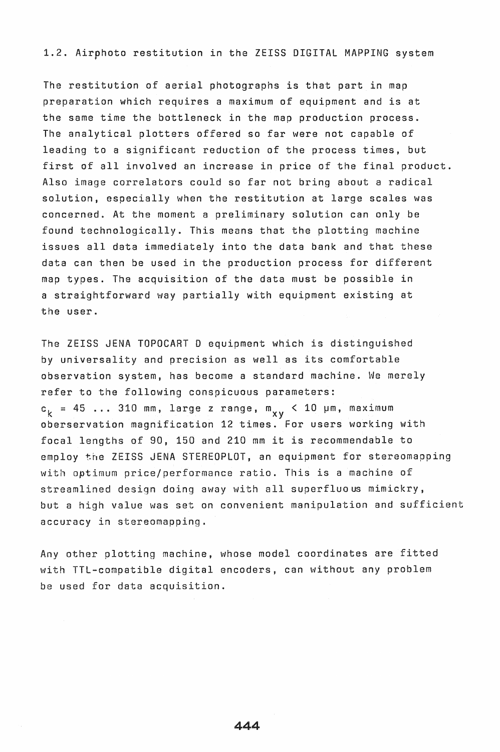# 1.2. Airphoto restitution in the ZEISS DIGITAL MAPPING system

The restitution of aerial photographs is that part in map preparation which requires a maximum of equipment and is at the same time the bottleneck in the map production process. The analytical plotters offered so far were not capable of leading to a significant reduction of the process times, but first of all involved an increase in price of the final product. Also image correlators could so far not bring about a radical solution, especially when the restitution at large scales was concerned. At the moment a preliminary solution can only be found technologically. This means that the plotting machine issues all data immediately into the data bank and that these data can then be used in the production process for different map types. The acquisition of the data must be possible in a straightforward way partially with equipment existing at the user.

The ZEISS JENA TOPOCART 0 equipment which is distinguished by universality and precision as well as its comfortable observation system, has become a standard machine. We merely refer to the following conspicuous parameters:  $c_{\rm k}$  = 45 ... 310 mm, large z range, m $_{\rm xy}$  < 10  $\mu$ m, maximum oberservation magnification 12 times. For users working with focal lengths of 90, 150 and 210 mm it is recommendable to employ the ZEISS JENA STEREOPLOT, an equipment for stereomapping with optimum price/performance ratio. This is a machine of streamlined design doing away with all superfluo us mimickry, but a high value was set on convenient manipulation and sufficient accuracy in stereomapping.

Any other plotting machine, whose model coordinates are fitted with TTL-compatible digital encoders, can without any problem be used for data acquisition.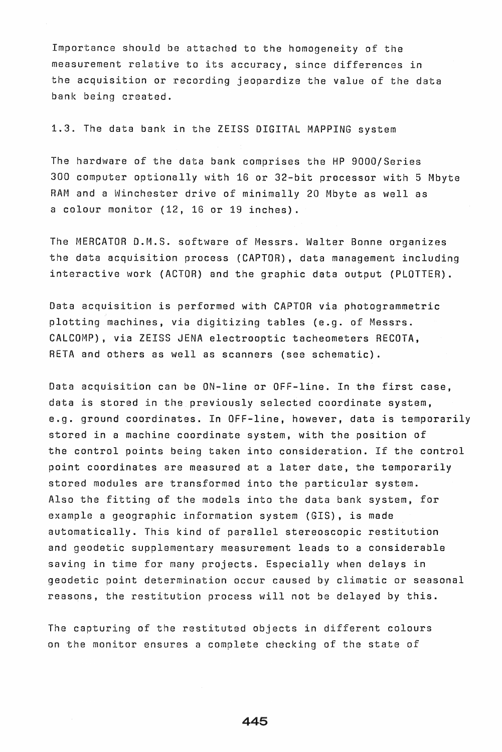Importance should be attached to the homogeneity of the measurement relative to its accuracy, since differences in the acquisition or recording jeopardize the value of the data bank being created.

1.3. The data bank in the ZEISS DIGITAL MAPPING system

The hardware of the data bank comprises the HP 9000/Series 300 computer optionally with 16 or 32-bit processor with 5 Mbyte RAM and a Winchester drive of minimally 20 Mbyte as well as a colour monitor (12, 16 or 19 inches).

The MERCATOR D.M.S. software of Messrs. Walter Bonne organizes the data acquisition process (CAPTOR), data management including interactive work (ACTOR) and the graphic data output (PLOTTER).

Data acquisition is performed with CAPTOR via photogrammetric plotting machines, via digitizing tables (e.g. of Messrs. CALCOMP), via ZEISS JENA electrooptic tacheometers RECOTA, RETA and others as well as scanners (see schematic).

Data acquisition can be ON-line or OFF-line. In the first case, data is stored in the previously selected coordinate system, e.g. ground coordinates. In OFF-line, however, data is temporarily stored in a machine coordinate system, with the position of the control points being taken into consideration. If the control point coordinates are measured at a later date, the temporarily stored modules are transformed into the particular system. Also the fitting of the models into the data bank system, for example a geographic information system (GIS), is made automatically. This kind of parallel stereoscopic restitution and geodetic supplementary measurement leads to a considerable saving in time for many projects. Especially when delays in geodetic point determination occur caused by climatic or seasonal reasons, the restitution process will not be delayed by this.

The capturing of the restituted objects in different colours on the monitor ensures a complete checking of the state of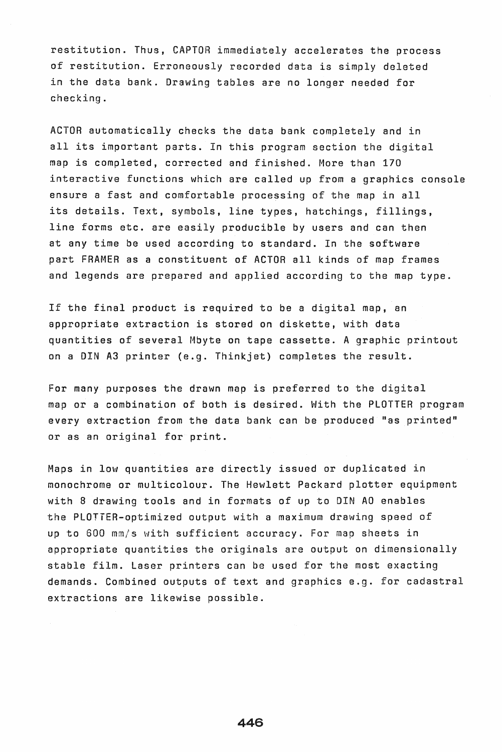restitution. Thus, CAPTOR immediately accelerates the process of restitution. Erroneously recorded data is simply deleted in the data bank. Drawing tables are no longer needed for checking.

ACTOR automatically checks the data bank completely and in all its important parts. In this program section the digital map is completed, corrected and finished. More than 170 interactive functions which are called up from a graphics console ensure a fast and comfortable processing of the map in all its details. Text, symbols, line types, hatchings, fillings, line forms etc. are easily producible by users and can then at any time be used according to standard. In the software part FRAMER as a constituent of ACTOR all kinds of map frames and legends are prepared and applied according to the map type.

If the final product is required to be a digital map, an appropriate extraction is stored on diskette, with data quantities of several Mbyte on tape cassette. A graphic printout on a DIN A3 printer (e.g. Thinkjet) completes the result.

For many purposes the drawn map is preferred to the digital map or a combination of both is desired. With the PLOTTER program every extraction from the data bank can be produced "as printed" or as an original for print.

Maps in low quantities are directly issued or duplicated in monochrome or multicolour. The Hewlett Packard plotter equipment with 8 drawing tools and in formats of up to DIN AO enables the PLOTTER-optimized output with a maximum drawing speed of up to 600 mm/s with sufficient accuracy. For map sheets in appropriate quantities the originals are output on dimensionally stable film. Laser printers can be used for the most exacting demands. Combined outputs of text and graphics e.g. for cadastral extractions are likewise possible.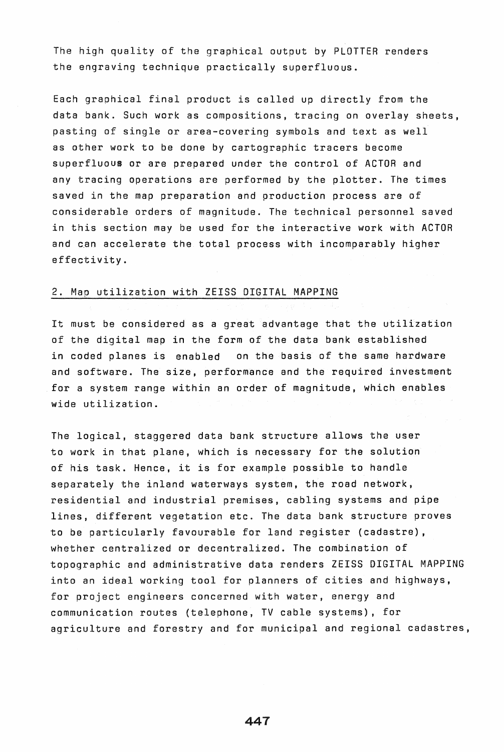The high quality of the graphical output by PLOTTER renders the engraving technique practically superfluous.

Each graphical final product is called up directly from the data bank. Such work as compositions, tracing on overlay sheets, pasting of single or area-covering symbols and text as well as other work to be done by cartographic tracers become superfluous or are prepared under the control of ACTOR and any tracing operations are performed by the plotter. The times saved in the map preparation and production process are of considerable orders of magnitude. The technical personnel saved in this section may be used for the interactive work with ACTOR and can accelerate the total process with incomparably higher effectivity.

## 2. Map utilization with ZEISS DIGITAL MAPPING

It must be considered as a great advantage that the utilization of the digital map in the form of the data bank established in coded planes is enabled on the basis of the same hardware and software. The size, performance and the required investment for a system range within an order of magnitude, which enables wide utilization.

The logical, staggered data bank structure allows the user to work in that plane, which is necessary for the solution of his task. Hence, it is for example possible to handle separately the inland waterways system, the road network. residential and industrial premises, cabling systems and pipe lines, different vegetation etc. The data bank structure proves to be particularly favourable for land register (cadastre), whether centralized or decentralized. The combination of topographic and administrative data renders ZEISS DIGITAL MAPPING into an ideal working tool for planners of cities and highways, for project engineers concerned with water, energy and communication routes (telephone, TV cable systems), for agriculture and forestry and for municipal and regional cadastres,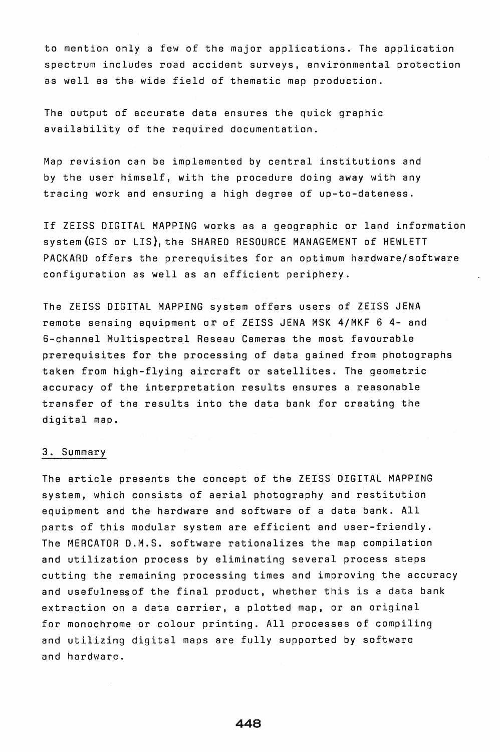to mention only a few of the major applications. The application spectrum includes road accident surveys, environmental protection as well as the wide field of thematic map production.

The output of accurate data ensures the quick graphic availability of the required documentation.

Map revision can be implemented by central institutions and by the user himself, with the procedure doing away with any tracing work and ensuring a high degree of up-to-dateness.

If ZEISS DIGITAL MAPPING works as a geographic or land information system (GIS or LIS), the SHARED RESOURCE MANAGEMENT of HEWLETT PACKARD offers the prerequisites for an optimum hardware/software configuration as well as an efficient periphery.

The ZEISS DIGITAL MAPPING system offers users of ZEISS JENA remote sensing equipment or of ZEISS JENA MSK 4/MKF 6 4- and 6-channel Multispectral Reseau Cameras the most favourable prerequisites for the processing of data gained from photographs taken from high-flying aircraft or satellites. The geometric accuracy of the interpretation results ensures a reasonable transfer of the results into the data bank for creating the digital map.

## 3. Summary

The article presents the concept of the ZEISS DIGITAL MAPPING system, which consists of aerial photography and restitution equipment and the hardware and software of a data bank. All parts of this modular system are efficient and user-friendly. The MERCATOR D.M.S. software rationalizes the map compilation and utilization process by eliminating several process steps cutting the remaining processing times and improving the accuracy and usefulnessof the final product, whether this is a data bank extraction on a data carrier, a plotted map, or an original for monochrome or colour printing. All processes of compiling and utilizing digital maps are fully supported by software and hardware.